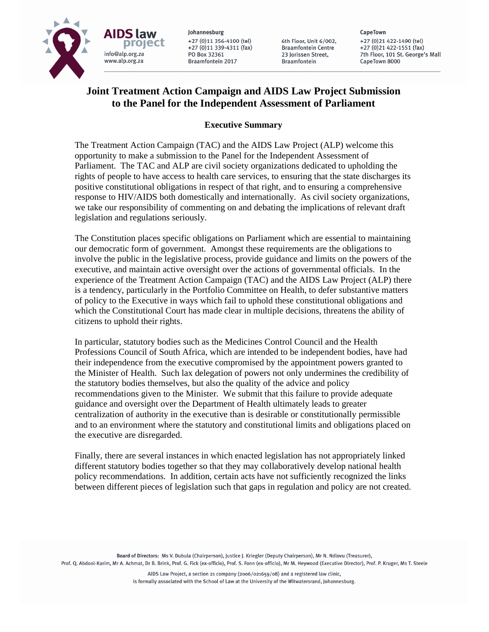

Johannesburg +27 (0)11 356-4100 (tel) +27 (0)11 339-4311 (fax) PO Box 32361 Braamfontein 2017

6th Floor, Unit 6/002, **Braamfontein Centre** 23 Jorissen Street. **Braamfontein** 

CapeTown +27 (0) 21 422-1490 (tel) +27 (0)21 422-1551 (fax) 7th Floor, 101 St. George's Mall CapeTown 8000

# **Joint Treatment Action Campaign and AIDS Law Project Submission to the Panel for the Independent Assessment of Parliament**

### **Executive Summary**

The Treatment Action Campaign (TAC) and the AIDS Law Project (ALP) welcome this opportunity to make a submission to the Panel for the Independent Assessment of Parliament. The TAC and ALP are civil society organizations dedicated to upholding the rights of people to have access to health care services, to ensuring that the state discharges its positive constitutional obligations in respect of that right, and to ensuring a comprehensive response to HIV/AIDS both domestically and internationally. As civil society organizations, we take our responsibility of commenting on and debating the implications of relevant draft legislation and regulations seriously.

The Constitution places specific obligations on Parliament which are essential to maintaining our democratic form of government. Amongst these requirements are the obligations to involve the public in the legislative process, provide guidance and limits on the powers of the executive, and maintain active oversight over the actions of governmental officials. In the experience of the Treatment Action Campaign (TAC) and the AIDS Law Project (ALP) there is a tendency, particularly in the Portfolio Committee on Health, to defer substantive matters of policy to the Executive in ways which fail to uphold these constitutional obligations and which the Constitutional Court has made clear in multiple decisions, threatens the ability of citizens to uphold their rights.

In particular, statutory bodies such as the Medicines Control Council and the Health Professions Council of South Africa, which are intended to be independent bodies, have had their independence from the executive compromised by the appointment powers granted to the Minister of Health. Such lax delegation of powers not only undermines the credibility of the statutory bodies themselves, but also the quality of the advice and policy recommendations given to the Minister. We submit that this failure to provide adequate guidance and oversight over the Department of Health ultimately leads to greater centralization of authority in the executive than is desirable or constitutionally permissible and to an environment where the statutory and constitutional limits and obligations placed on the executive are disregarded.

Finally, there are several instances in which enacted legislation has not appropriately linked different statutory bodies together so that they may collaboratively develop national health policy recommendations. In addition, certain acts have not sufficiently recognized the links between different pieces of legislation such that gaps in regulation and policy are not created.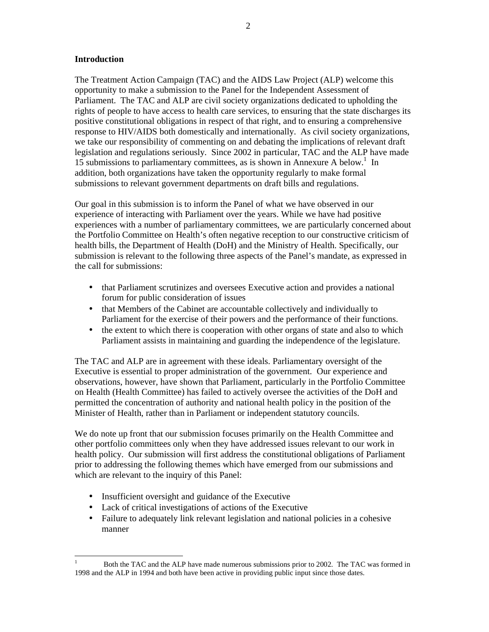#### **Introduction**

The Treatment Action Campaign (TAC) and the AIDS Law Project (ALP) welcome this opportunity to make a submission to the Panel for the Independent Assessment of Parliament. The TAC and ALP are civil society organizations dedicated to upholding the rights of people to have access to health care services, to ensuring that the state discharges its positive constitutional obligations in respect of that right, and to ensuring a comprehensive response to HIV/AIDS both domestically and internationally. As civil society organizations, we take our responsibility of commenting on and debating the implications of relevant draft legislation and regulations seriously. Since 2002 in particular, TAC and the ALP have made  $15$  submissions to parliamentary committees, as is shown in Annexure A below.<sup>1</sup> In addition, both organizations have taken the opportunity regularly to make formal submissions to relevant government departments on draft bills and regulations.

Our goal in this submission is to inform the Panel of what we have observed in our experience of interacting with Parliament over the years. While we have had positive experiences with a number of parliamentary committees, we are particularly concerned about the Portfolio Committee on Health's often negative reception to our constructive criticism of health bills, the Department of Health (DoH) and the Ministry of Health. Specifically, our submission is relevant to the following three aspects of the Panel's mandate, as expressed in the call for submissions:

- that Parliament scrutinizes and oversees Executive action and provides a national forum for public consideration of issues
- that Members of the Cabinet are accountable collectively and individually to Parliament for the exercise of their powers and the performance of their functions.
- the extent to which there is cooperation with other organs of state and also to which Parliament assists in maintaining and guarding the independence of the legislature.

The TAC and ALP are in agreement with these ideals. Parliamentary oversight of the Executive is essential to proper administration of the government. Our experience and observations, however, have shown that Parliament, particularly in the Portfolio Committee on Health (Health Committee) has failed to actively oversee the activities of the DoH and permitted the concentration of authority and national health policy in the position of the Minister of Health, rather than in Parliament or independent statutory councils.

We do note up front that our submission focuses primarily on the Health Committee and other portfolio committees only when they have addressed issues relevant to our work in health policy. Our submission will first address the constitutional obligations of Parliament prior to addressing the following themes which have emerged from our submissions and which are relevant to the inquiry of this Panel:

- Insufficient oversight and guidance of the Executive
- Lack of critical investigations of actions of the Executive
- Failure to adequately link relevant legislation and national policies in a cohesive manner

<sup>-</sup>1 Both the TAC and the ALP have made numerous submissions prior to 2002. The TAC was formed in 1998 and the ALP in 1994 and both have been active in providing public input since those dates.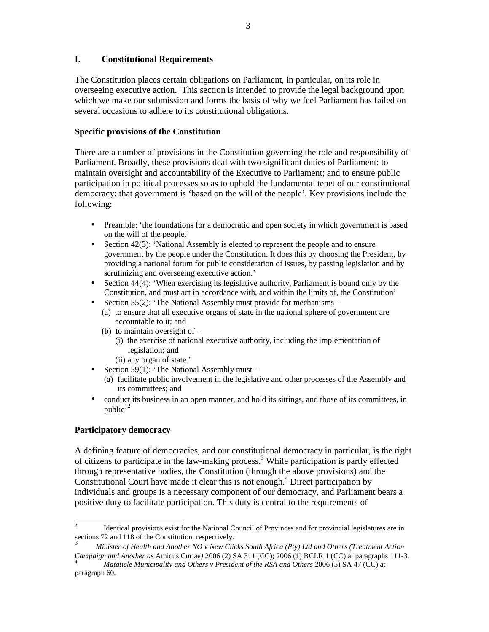#### **I. Constitutional Requirements**

The Constitution places certain obligations on Parliament, in particular, on its role in overseeing executive action. This section is intended to provide the legal background upon which we make our submission and forms the basis of why we feel Parliament has failed on several occasions to adhere to its constitutional obligations.

### **Specific provisions of the Constitution**

There are a number of provisions in the Constitution governing the role and responsibility of Parliament. Broadly, these provisions deal with two significant duties of Parliament: to maintain oversight and accountability of the Executive to Parliament; and to ensure public participation in political processes so as to uphold the fundamental tenet of our constitutional democracy: that government is 'based on the will of the people'. Key provisions include the following:

- Preamble: 'the foundations for a democratic and open society in which government is based on the will of the people.'
- Section 42(3): 'National Assembly is elected to represent the people and to ensure government by the people under the Constitution. It does this by choosing the President, by providing a national forum for public consideration of issues, by passing legislation and by scrutinizing and overseeing executive action.'
- Section 44(4): 'When exercising its legislative authority, Parliament is bound only by the Constitution, and must act in accordance with, and within the limits of, the Constitution'
- Section 55(2): 'The National Assembly must provide for mechanisms
	- (a) to ensure that all executive organs of state in the national sphere of government are accountable to it; and
	- (b) to maintain oversight of
		- (i) the exercise of national executive authority, including the implementation of legislation; and
		- (ii) any organ of state.'
- Section 59(1): 'The National Assembly must
	- (a) facilitate public involvement in the legislative and other processes of the Assembly and its committees; and
- conduct its business in an open manner, and hold its sittings, and those of its committees, in public'<sup>2</sup>

### **Participatory democracy**

A defining feature of democracies, and our constitutional democracy in particular, is the right of citizens to participate in the law-making process.<sup>3</sup> While participation is partly effected through representative bodies, the Constitution (through the above provisions) and the Constitutional Court have made it clear this is not enough.<sup>4</sup> Direct participation by individuals and groups is a necessary component of our democracy, and Parliament bears a positive duty to facilitate participation. This duty is central to the requirements of

 $\frac{1}{2}$  Identical provisions exist for the National Council of Provinces and for provincial legislatures are in sections 72 and 118 of the Constitution, respectively.

<sup>3</sup>  *Minister of Health and Another NO v New Clicks South Africa (Pty) Ltd and Others (Treatment Action Campaign and Another as* Amicus Curiae*)* 2006 (2) SA 311 (CC); 2006 (1) BCLR 1 (CC) at paragraphs 111-3.

<sup>4</sup> *Matatiele Municipality and Others v President of the RSA and Others* 2006 (5) SA 47 (CC) at paragraph 60.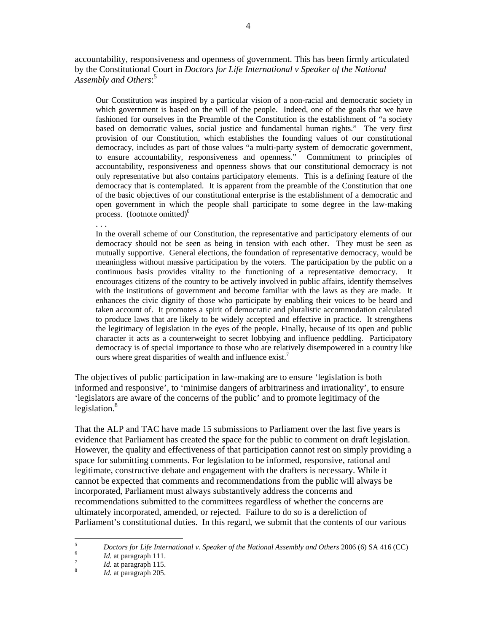accountability, responsiveness and openness of government. This has been firmly articulated by the Constitutional Court in *Doctors for Life International v Speaker of the National Assembly and Others*: 5

Our Constitution was inspired by a particular vision of a non-racial and democratic society in which government is based on the will of the people. Indeed, one of the goals that we have fashioned for ourselves in the Preamble of the Constitution is the establishment of "a society based on democratic values, social justice and fundamental human rights." The very first provision of our Constitution, which establishes the founding values of our constitutional democracy, includes as part of those values "a multi-party system of democratic government, to ensure accountability, responsiveness and openness." Commitment to principles of accountability, responsiveness and openness shows that our constitutional democracy is not only representative but also contains participatory elements. This is a defining feature of the democracy that is contemplated. It is apparent from the preamble of the Constitution that one of the basic objectives of our constitutional enterprise is the establishment of a democratic and open government in which the people shall participate to some degree in the law-making process. (footnote omitted) $<sup>6</sup>$ </sup>

. . .

In the overall scheme of our Constitution, the representative and participatory elements of our democracy should not be seen as being in tension with each other. They must be seen as mutually supportive. General elections, the foundation of representative democracy, would be meaningless without massive participation by the voters. The participation by the public on a continuous basis provides vitality to the functioning of a representative democracy. It encourages citizens of the country to be actively involved in public affairs, identify themselves with the institutions of government and become familiar with the laws as they are made. It enhances the civic dignity of those who participate by enabling their voices to be heard and taken account of. It promotes a spirit of democratic and pluralistic accommodation calculated to produce laws that are likely to be widely accepted and effective in practice. It strengthens the legitimacy of legislation in the eyes of the people. Finally, because of its open and public character it acts as a counterweight to secret lobbying and influence peddling. Participatory democracy is of special importance to those who are relatively disempowered in a country like ours where great disparities of wealth and influence exist.<sup>7</sup>

The objectives of public participation in law-making are to ensure 'legislation is both informed and responsive', to 'minimise dangers of arbitrariness and irrationality', to ensure 'legislators are aware of the concerns of the public' and to promote legitimacy of the legislation. $8$ 

That the ALP and TAC have made 15 submissions to Parliament over the last five years is evidence that Parliament has created the space for the public to comment on draft legislation. However, the quality and effectiveness of that participation cannot rest on simply providing a space for submitting comments. For legislation to be informed, responsive, rational and legitimate, constructive debate and engagement with the drafters is necessary. While it cannot be expected that comments and recommendations from the public will always be incorporated, Parliament must always substantively address the concerns and recommendations submitted to the committees regardless of whether the concerns are ultimately incorporated, amended, or rejected. Failure to do so is a dereliction of Parliament's constitutional duties. In this regard, we submit that the contents of our various

<sup>-&</sup>lt;br>5 *Doctors for Life International v. Speaker of the National Assembly and Others* 2006 (6) SA 416 (CC)

<sup>6</sup> *Id.* at paragraph 111.

<sup>7</sup> *Id.* at paragraph 115.

<sup>8</sup> *Id.* at paragraph 205.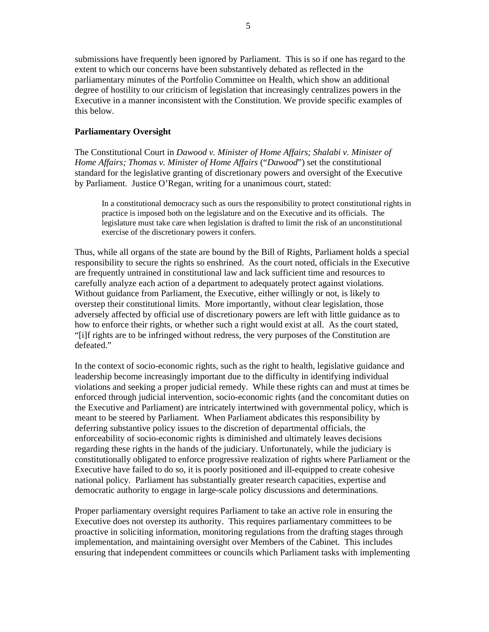submissions have frequently been ignored by Parliament. This is so if one has regard to the extent to which our concerns have been substantively debated as reflected in the parliamentary minutes of the Portfolio Committee on Health, which show an additional degree of hostility to our criticism of legislation that increasingly centralizes powers in the Executive in a manner inconsistent with the Constitution. We provide specific examples of this below.

#### **Parliamentary Oversight**

The Constitutional Court in *Dawood v. Minister of Home Affairs; Shalabi v. Minister of Home Affairs; Thomas v. Minister of Home Affairs* ("*Dawood*") set the constitutional standard for the legislative granting of discretionary powers and oversight of the Executive by Parliament. Justice O'Regan, writing for a unanimous court, stated:

In a constitutional democracy such as ours the responsibility to protect constitutional rights in practice is imposed both on the legislature and on the Executive and its officials. The legislature must take care when legislation is drafted to limit the risk of an unconstitutional exercise of the discretionary powers it confers.

Thus, while all organs of the state are bound by the Bill of Rights, Parliament holds a special responsibility to secure the rights so enshrined. As the court noted, officials in the Executive are frequently untrained in constitutional law and lack sufficient time and resources to carefully analyze each action of a department to adequately protect against violations. Without guidance from Parliament, the Executive, either willingly or not, is likely to overstep their constitutional limits. More importantly, without clear legislation, those adversely affected by official use of discretionary powers are left with little guidance as to how to enforce their rights, or whether such a right would exist at all. As the court stated, "[i]f rights are to be infringed without redress, the very purposes of the Constitution are defeated."

In the context of socio-economic rights, such as the right to health, legislative guidance and leadership become increasingly important due to the difficulty in identifying individual violations and seeking a proper judicial remedy. While these rights can and must at times be enforced through judicial intervention, socio-economic rights (and the concomitant duties on the Executive and Parliament) are intricately intertwined with governmental policy, which is meant to be steered by Parliament. When Parliament abdicates this responsibility by deferring substantive policy issues to the discretion of departmental officials, the enforceability of socio-economic rights is diminished and ultimately leaves decisions regarding these rights in the hands of the judiciary. Unfortunately, while the judiciary is constitutionally obligated to enforce progressive realization of rights where Parliament or the Executive have failed to do so, it is poorly positioned and ill-equipped to create cohesive national policy. Parliament has substantially greater research capacities, expertise and democratic authority to engage in large-scale policy discussions and determinations.

Proper parliamentary oversight requires Parliament to take an active role in ensuring the Executive does not overstep its authority. This requires parliamentary committees to be proactive in soliciting information, monitoring regulations from the drafting stages through implementation, and maintaining oversight over Members of the Cabinet. This includes ensuring that independent committees or councils which Parliament tasks with implementing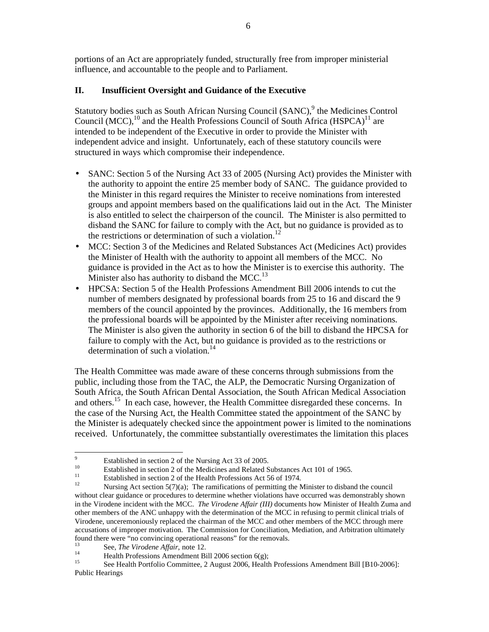portions of an Act are appropriately funded, structurally free from improper ministerial influence, and accountable to the people and to Parliament.

### **II. Insufficient Oversight and Guidance of the Executive**

Statutory bodies such as South African Nursing Council (SANC),<sup>9</sup> the Medicines Control Council (MCC), $^{10}$  and the Health Professions Council of South Africa (HSPCA)<sup>11</sup> are intended to be independent of the Executive in order to provide the Minister with independent advice and insight. Unfortunately, each of these statutory councils were structured in ways which compromise their independence.

- SANC: Section 5 of the Nursing Act 33 of 2005 (Nursing Act) provides the Minister with the authority to appoint the entire 25 member body of SANC. The guidance provided to the Minister in this regard requires the Minister to receive nominations from interested groups and appoint members based on the qualifications laid out in the Act. The Minister is also entitled to select the chairperson of the council. The Minister is also permitted to disband the SANC for failure to comply with the Act, but no guidance is provided as to the restrictions or determination of such a violation.<sup>12</sup>
- MCC: Section 3 of the Medicines and Related Substances Act (Medicines Act) provides the Minister of Health with the authority to appoint all members of the MCC. No guidance is provided in the Act as to how the Minister is to exercise this authority. The Minister also has authority to disband the MCC.<sup>13</sup>
- HPCSA: Section 5 of the Health Professions Amendment Bill 2006 intends to cut the number of members designated by professional boards from 25 to 16 and discard the 9 members of the council appointed by the provinces. Additionally, the 16 members from the professional boards will be appointed by the Minister after receiving nominations. The Minister is also given the authority in section 6 of the bill to disband the HPCSA for failure to comply with the Act, but no guidance is provided as to the restrictions or determination of such a violation.<sup>14</sup>

The Health Committee was made aware of these concerns through submissions from the public, including those from the TAC, the ALP, the Democratic Nursing Organization of South Africa, the South African Dental Association, the South African Medical Association and others.<sup>15</sup> In each case, however, the Health Committee disregarded these concerns. In the case of the Nursing Act, the Health Committee stated the appointment of the SANC by the Minister is adequately checked since the appointment power is limited to the nominations received. Unfortunately, the committee substantially overestimates the limitation this places

<sup>-&</sup>lt;br>9 <sup>9</sup><br>Established in section 2 of the Nursing Act 33 of 2005.

<sup>&</sup>lt;sup>10</sup> Established in section 2 of the Medicines and Related Substances Act 101 of 1965.

<sup>&</sup>lt;sup>11</sup><br>Established in section 2 of the Health Professions Act 56 of 1974.

Nursing Act section  $5(7)(a)$ ; The ramifications of permitting the Minister to disband the council without clear guidance or procedures to determine whether violations have occurred was demonstrably shown in the Virodene incident with the MCC. *The Virodene Affair (III)* documents how Minister of Health Zuma and other members of the ANC unhappy with the determination of the MCC in refusing to permit clinical trials of Virodene, unceremoniously replaced the chairman of the MCC and other members of the MCC through mere accusations of improper motivation. The Commission for Conciliation, Mediation, and Arbitration ultimately found there were "no convincing operational reasons" for the removals.

<sup>13</sup> See, *The Virodene Affair*, note 12.

<sup>&</sup>lt;sup>14</sup> Health Professions Amendment Bill 2006 section 6(g);<br><sup>15</sup> See Health Perfelix Generalities 2. Amend 2006 Health

<sup>15</sup> See Health Portfolio Committee, 2 August 2006, Health Professions Amendment Bill [B10-2006]: Public Hearings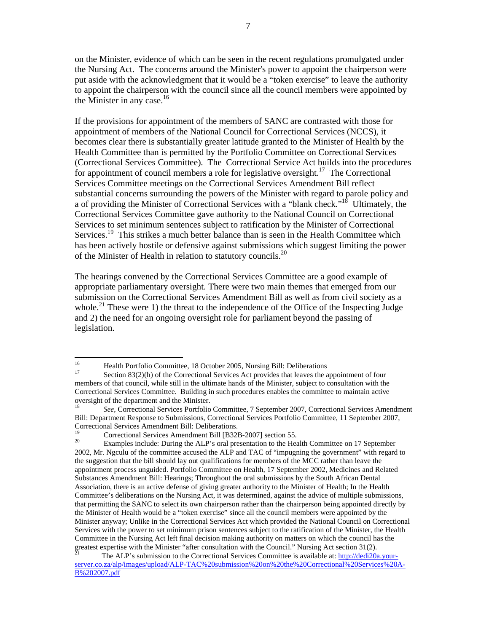on the Minister, evidence of which can be seen in the recent regulations promulgated under the Nursing Act. The concerns around the Minister's power to appoint the chairperson were put aside with the acknowledgment that it would be a "token exercise" to leave the authority to appoint the chairperson with the council since all the council members were appointed by the Minister in any case. $16$ 

If the provisions for appointment of the members of SANC are contrasted with those for appointment of members of the National Council for Correctional Services (NCCS), it becomes clear there is substantially greater latitude granted to the Minister of Health by the Health Committee than is permitted by the Portfolio Committee on Correctional Services (Correctional Services Committee). The Correctional Service Act builds into the procedures for appointment of council members a role for legislative oversight.<sup>17</sup> The Correctional Services Committee meetings on the Correctional Services Amendment Bill reflect substantial concerns surrounding the powers of the Minister with regard to parole policy and a of providing the Minister of Correctional Services with a "blank check."<sup>18</sup> Ultimately, the Correctional Services Committee gave authority to the National Council on Correctional Services to set minimum sentences subject to ratification by the Minister of Correctional Services.<sup>19</sup> This strikes a much better balance than is seen in the Health Committee which has been actively hostile or defensive against submissions which suggest limiting the power of the Minister of Health in relation to statutory councils.<sup>20</sup>

The hearings convened by the Correctional Services Committee are a good example of appropriate parliamentary oversight. There were two main themes that emerged from our submission on the Correctional Services Amendment Bill as well as from civil society as a whole.<sup>21</sup> These were 1) the threat to the independence of the Office of the Inspecting Judge and 2) the need for an ongoing oversight role for parliament beyond the passing of legislation.

 $16^{1}$ <sup>16</sup> Health Portfolio Committee, 18 October 2005, Nursing Bill: Deliberations

Section  $83(2)(h)$  of the Correctional Services Act provides that leaves the appointment of four members of that council, while still in the ultimate hands of the Minister, subject to consultation with the Correctional Services Committee. Building in such procedures enables the committee to maintain active oversight of the department and the Minister.

<sup>18</sup> *See*, Correctional Services Portfolio Committee, 7 September 2007, Correctional Services Amendment Bill: Department Response to Submissions, Correctional Services Portfolio Committee, 11 September 2007, Correctional Services Amendment Bill: Deliberations.

<sup>&</sup>lt;sup>19</sup> Correctional Services Amendment Bill  $[**B32B-2007**]$  section 55.

Examples include: During the ALP's oral presentation to the Health Committee on 17 September 2002, Mr. Ngculu of the committee accused the ALP and TAC of "impugning the government" with regard to the suggestion that the bill should lay out qualifications for members of the MCC rather than leave the appointment process unguided. Portfolio Committee on Health, 17 September 2002, Medicines and Related Substances Amendment Bill: Hearings; Throughout the oral submissions by the South African Dental Association, there is an active defense of giving greater authority to the Minister of Health; In the Health Committee's deliberations on the Nursing Act, it was determined, against the advice of multiple submissions, that permitting the SANC to select its own chairperson rather than the chairperson being appointed directly by the Minister of Health would be a "token exercise" since all the council members were appointed by the Minister anyway; Unlike in the Correctional Services Act which provided the National Council on Correctional Services with the power to set minimum prison sentences subject to the ratification of the Minister, the Health Committee in the Nursing Act left final decision making authority on matters on which the council has the greatest expertise with the Minister "after consultation with the Council." Nursing Act section 31(2).

The ALP's submission to the Correctional Services Committee is available at: http://dedi20a.yourserver.co.za/alp/images/upload/ALP-TAC%20submission%20on%20the%20Correctional%20Services%20A-B%202007.pdf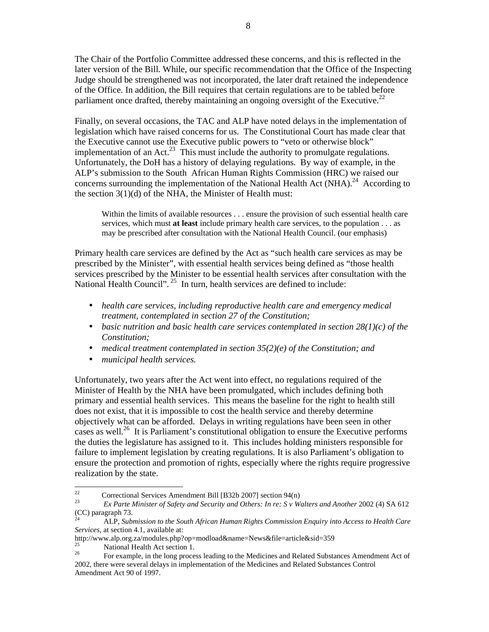The Chair of the Portfolio Committee addressed these concerns, and this is reflected in the later version of the Bill. While, our specific recommendation that the Office of the Inspecting Judge should be strengthened was not incorporated, the later draft retained the independence of the Office. In addition, the Bill requires that certain regulations are to be tabled before parliament once drafted, thereby maintaining an ongoing oversight of the Executive.<sup>22</sup>

Finally, on several occasions, the TAC and ALP have noted delays in the implementation of legislation which have raised concerns for us. The Constitutional Court has made clear that the Executive cannot use the Executive public powers to "veto or otherwise block" implementation of an Act.<sup>23</sup> This must include the authority to promulgate regulations. Unfortunately, the DoH has a history of delaying regulations. By way of example, in the ALP's submission to the South African Human Rights Commission (HRC) we raised our concerns surrounding the implementation of the National Health Act (NHA).<sup>24</sup> According to the section 3(1)(d) of the NHA, the Minister of Health must:

Within the limits of available resources . . . ensure the provision of such essential health care services, which must **at least** include primary health care services, to the population . . . as may be prescribed after consultation with the National Health Council. (our emphasis)

Primary health care services are defined by the Act as "such health care services as may be prescribed by the Minister", with essential health services being defined as "those health services prescribed by the Minister to be essential health services after consultation with the National Health Council".<sup>25</sup> In turn, health services are defined to include:

- *health care services, including reproductive health care and emergency medical treatment, contemplated in section 27 of the Constitution;*
- *basic nutrition and basic health care services contemplated in section 28(1)(c) of the Constitution;*
- *medical treatment contemplated in section 35(2)(e) of the Constitution; and*
- *municipal health services.*

Unfortunately, two years after the Act went into effect, no regulations required of the Minister of Health by the NHA have been promulgated, which includes defining both primary and essential health services. This means the baseline for the right to health still does not exist, that it is impossible to cost the health service and thereby determine objectively what can be afforded. Delays in writing regulations have been seen in other cases as well.<sup>26</sup> It is Parliament's constitutional obligation to ensure the Executive performs the duties the legislature has assigned to it. This includes holding ministers responsible for failure to implement legislation by creating regulations. It is also Parliament's obligation to ensure the protection and promotion of rights, especially where the rights require progressive realization by the state.

 $22$ <sup>22</sup> Correctional Services Amendment Bill [B32b 2007] section 94(n)

<sup>23</sup> *Ex Parte Minister of Safety and Security and Others: In re: S v Walters and Another 2002 (4) SA 612* (CC) paragraph 73.

<sup>24</sup> ALP, *Submission to the South African Human Rights Commission Enquiry into Access to Health Care Services,* at section 4.1, available at:

http://www.alp.org.za/modules.php?op=modload&name=News&file=article&sid=359

 $\frac{25}{26}$  National Health Act section 1.

<sup>26</sup> For example, in the long process leading to the Medicines and Related Substances Amendment Act of 2002, there were several delays in implementation of the Medicines and Related Substances Control Amendment Act 90 of 1997.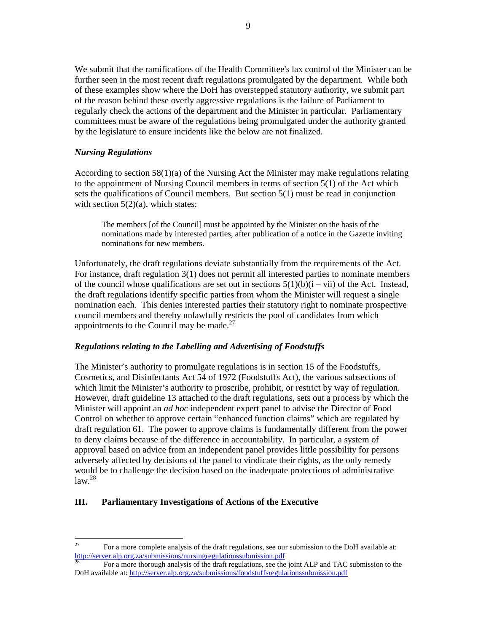We submit that the ramifications of the Health Committee's lax control of the Minister can be further seen in the most recent draft regulations promulgated by the department. While both of these examples show where the DoH has overstepped statutory authority, we submit part of the reason behind these overly aggressive regulations is the failure of Parliament to regularly check the actions of the department and the Minister in particular. Parliamentary committees must be aware of the regulations being promulgated under the authority granted by the legislature to ensure incidents like the below are not finalized.

#### *Nursing Regulations*

According to section  $58(1)(a)$  of the Nursing Act the Minister may make regulations relating to the appointment of Nursing Council members in terms of section  $5(1)$  of the Act which sets the qualifications of Council members. But section  $5(1)$  must be read in conjunction with section 5(2)(a), which states:

The members [of the Council] must be appointed by the Minister on the basis of the nominations made by interested parties, after publication of a notice in the Gazette inviting nominations for new members.

Unfortunately, the draft regulations deviate substantially from the requirements of the Act. For instance, draft regulation 3(1) does not permit all interested parties to nominate members of the council whose qualifications are set out in sections  $5(1)(b)(i - vi)$  of the Act. Instead, the draft regulations identify specific parties from whom the Minister will request a single nomination each. This denies interested parties their statutory right to nominate prospective council members and thereby unlawfully restricts the pool of candidates from which appointments to the Council may be made.<sup>27</sup>

### *Regulations relating to the Labelling and Advertising of Foodstuffs*

The Minister's authority to promulgate regulations is in section 15 of the Foodstuffs, Cosmetics, and Disinfectants Act 54 of 1972 (Foodstuffs Act), the various subsections of which limit the Minister's authority to proscribe, prohibit, or restrict by way of regulation. However, draft guideline 13 attached to the draft regulations, sets out a process by which the Minister will appoint an *ad hoc* independent expert panel to advise the Director of Food Control on whether to approve certain "enhanced function claims" which are regulated by draft regulation 61. The power to approve claims is fundamentally different from the power to deny claims because of the difference in accountability. In particular, a system of approval based on advice from an independent panel provides little possibility for persons adversely affected by decisions of the panel to vindicate their rights, as the only remedy would be to challenge the decision based on the inadequate protections of administrative  $\frac{1}{28}$ 

### **III. Parliamentary Investigations of Actions of the Executive**

<sup>27</sup> <sup>27</sup> For a more complete analysis of the draft regulations, see our submission to the DoH available at: http://server.alp.org.za/submissions/nursingregulationssubmission.pdf

<sup>28</sup> For a more thorough analysis of the draft regulations, see the joint ALP and TAC submission to the DoH available at: http://server.alp.org.za/submissions/foodstuffsregulationssubmission.pdf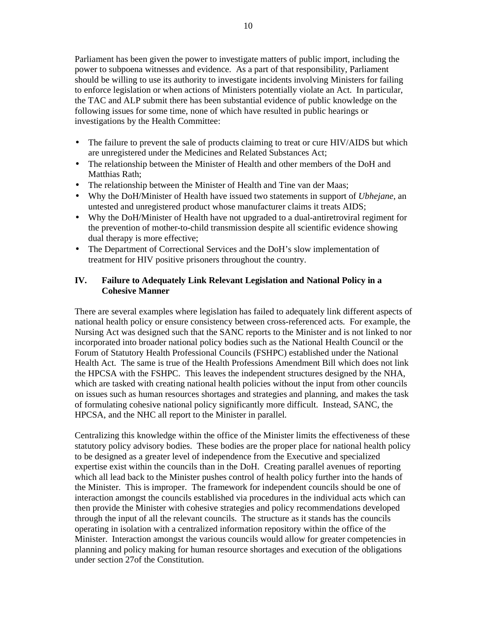Parliament has been given the power to investigate matters of public import, including the power to subpoena witnesses and evidence. As a part of that responsibility, Parliament should be willing to use its authority to investigate incidents involving Ministers for failing to enforce legislation or when actions of Ministers potentially violate an Act. In particular, the TAC and ALP submit there has been substantial evidence of public knowledge on the following issues for some time, none of which have resulted in public hearings or investigations by the Health Committee:

- The failure to prevent the sale of products claiming to treat or cure HIV/AIDS but which are unregistered under the Medicines and Related Substances Act;
- The relationship between the Minister of Health and other members of the DoH and Matthias Rath;
- The relationship between the Minister of Health and Tine van der Maas;
- Why the DoH/Minister of Health have issued two statements in support of *Ubhejane*, an untested and unregistered product whose manufacturer claims it treats AIDS;
- Why the DoH/Minister of Health have not upgraded to a dual-antiretroviral regiment for the prevention of mother-to-child transmission despite all scientific evidence showing dual therapy is more effective;
- The Department of Correctional Services and the DoH's slow implementation of treatment for HIV positive prisoners throughout the country.

### **IV. Failure to Adequately Link Relevant Legislation and National Policy in a Cohesive Manner**

There are several examples where legislation has failed to adequately link different aspects of national health policy or ensure consistency between cross-referenced acts. For example, the Nursing Act was designed such that the SANC reports to the Minister and is not linked to nor incorporated into broader national policy bodies such as the National Health Council or the Forum of Statutory Health Professional Councils (FSHPC) established under the National Health Act. The same is true of the Health Professions Amendment Bill which does not link the HPCSA with the FSHPC. This leaves the independent structures designed by the NHA, which are tasked with creating national health policies without the input from other councils on issues such as human resources shortages and strategies and planning, and makes the task of formulating cohesive national policy significantly more difficult. Instead, SANC, the HPCSA, and the NHC all report to the Minister in parallel.

Centralizing this knowledge within the office of the Minister limits the effectiveness of these statutory policy advisory bodies. These bodies are the proper place for national health policy to be designed as a greater level of independence from the Executive and specialized expertise exist within the councils than in the DoH. Creating parallel avenues of reporting which all lead back to the Minister pushes control of health policy further into the hands of the Minister. This is improper. The framework for independent councils should be one of interaction amongst the councils established via procedures in the individual acts which can then provide the Minister with cohesive strategies and policy recommendations developed through the input of all the relevant councils. The structure as it stands has the councils operating in isolation with a centralized information repository within the office of the Minister. Interaction amongst the various councils would allow for greater competencies in planning and policy making for human resource shortages and execution of the obligations under section 27of the Constitution.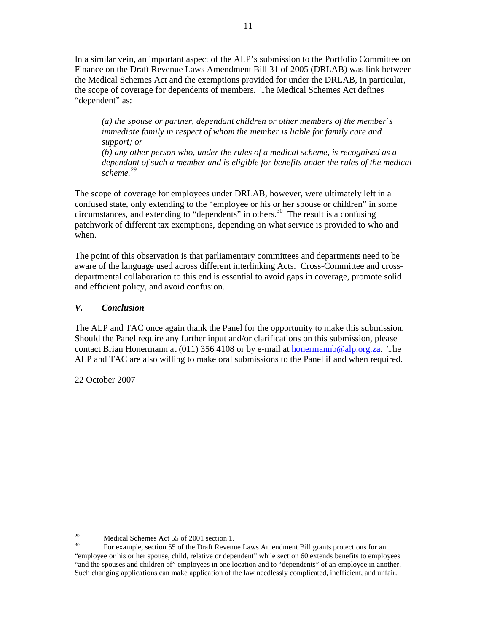In a similar vein, an important aspect of the ALP's submission to the Portfolio Committee on Finance on the Draft Revenue Laws Amendment Bill 31 of 2005 (DRLAB) was link between the Medical Schemes Act and the exemptions provided for under the DRLAB, in particular, the scope of coverage for dependents of members. The Medical Schemes Act defines "dependent" as:

*(a) the spouse or partner, dependant children or other members of the member´s immediate family in respect of whom the member is liable for family care and support; or (b) any other person who, under the rules of a medical scheme, is recognised as a dependant of such a member and is eligible for benefits under the rules of the medical scheme.<sup>29</sup>*

The scope of coverage for employees under DRLAB, however, were ultimately left in a confused state, only extending to the "employee or his or her spouse or children" in some circumstances, and extending to "dependents" in others.<sup>30</sup> The result is a confusing patchwork of different tax exemptions, depending on what service is provided to who and when.

The point of this observation is that parliamentary committees and departments need to be aware of the language used across different interlinking Acts. Cross-Committee and crossdepartmental collaboration to this end is essential to avoid gaps in coverage, promote solid and efficient policy, and avoid confusion.

### *V. Conclusion*

The ALP and TAC once again thank the Panel for the opportunity to make this submission. Should the Panel require any further input and/or clarifications on this submission, please contact Brian Honermann at  $(011)$  356 4108 or by e-mail at honermannb@alp.org.za. The ALP and TAC are also willing to make oral submissions to the Panel if and when required.

22 October 2007

<sup>29</sup> <sup>29</sup><br>Medical Schemes Act 55 of 2001 section 1.<br>Englands action 55 of the Draft Boyan

<sup>30</sup> For example, section 55 of the Draft Revenue Laws Amendment Bill grants protections for an "employee or his or her spouse, child, relative or dependent" while section 60 extends benefits to employees "and the spouses and children of" employees in one location and to "dependents" of an employee in another. Such changing applications can make application of the law needlessly complicated, inefficient, and unfair.